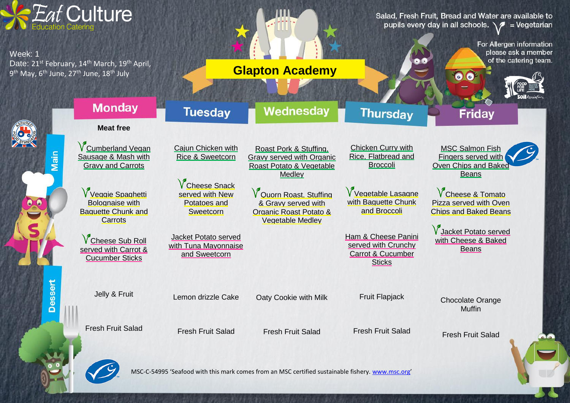

MSC-C-54995 'Seafood with this mark comes from an MSC certified sustainable fishery. [www.msc.org](http://www.msc.org/)'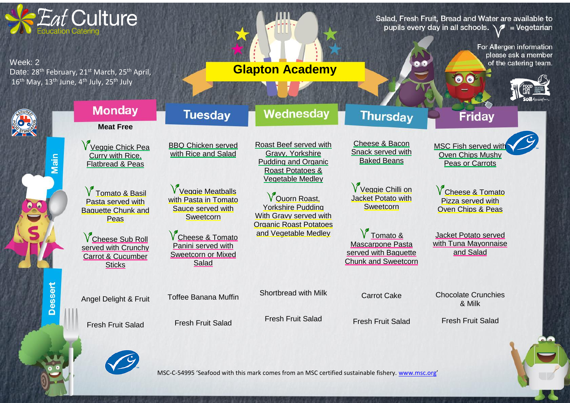

MSC-C-54995 'Seafood with this mark comes from an MSC certified sustainable fishery. [www.msc.org](http://www.msc.org/)'